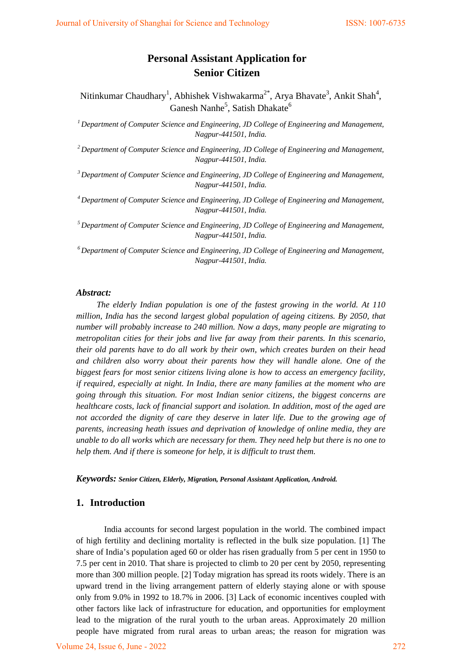# **Personal Assistant Application for Senior Citizen**

Nitinkumar Chaudhary<sup>1</sup>, Abhishek Vishwakarma<sup>2\*</sup>, Arya Bhavate<sup>3</sup>, Ankit Shah<sup>4</sup>, Ganesh Nanhe<sup>5</sup>, Satish Dhakate<sup>6</sup>

*1 Department of Computer Science and Engineering, JD College of Engineering and Management, Nagpur-441501, India.*

*2 Department of Computer Science and Engineering, JD College of Engineering and Management, Nagpur-441501, India.*

*3 Department of Computer Science and Engineering, JD College of Engineering and Management, Nagpur-441501, India.*

*4 Department of Computer Science and Engineering, JD College of Engineering and Management, Nagpur-441501, India.*

*5 Department of Computer Science and Engineering, JD College of Engineering and Management, Nagpur-441501, India.*

*6 Department of Computer Science and Engineering, JD College of Engineering and Management, Nagpur-441501, India.*

#### *Abstract:*

*The elderly Indian population is one of the fastest growing in the world. At 110 million, India has the second largest global population of ageing citizens. By 2050, that number will probably increase to 240 million. Now a days, many people are migrating to metropolitan cities for their jobs and live far away from their parents. In this scenario, their old parents have to do all work by their own, which creates burden on their head and children also worry about their parents how they will handle alone. One of the biggest fears for most senior citizens living alone is how to access an emergency facility, if required, especially at night. In India, there are many families at the moment who are going through this situation. For most Indian senior citizens, the biggest concerns are healthcare costs, lack of financial support and isolation. In addition, most of the aged are not accorded the dignity of care they deserve in later life. Due to the growing age of parents, increasing heath issues and deprivation of knowledge of online media, they are unable to do all works which are necessary for them. They need help but there is no one to help them. And if there is someone for help, it is difficult to trust them.*

*Keywords: Senior Citizen, Elderly, Migration, Personal Assistant Application, Android.*

### **1. Introduction**

India accounts for second largest population in the world. The combined impact of high fertility and declining mortality is reflected in the bulk size population. [1] The share of India's population aged 60 or older has risen gradually from 5 per cent in 1950 to 7.5 per cent in 2010. That share is projected to climb to 20 per cent by 2050, representing more than 300 million people. [2] Today migration has spread its roots widely. There is an upward trend in the living arrangement pattern of elderly staying alone or with spouse only from 9.0% in 1992 to 18.7% in 2006. [3] Lack of economic incentives coupled with other factors like lack of infrastructure for education, and opportunities for employment lead to the migration of the rural youth to the urban areas. Approximately 20 million people have migrated from rural areas to urban areas; the reason for migration was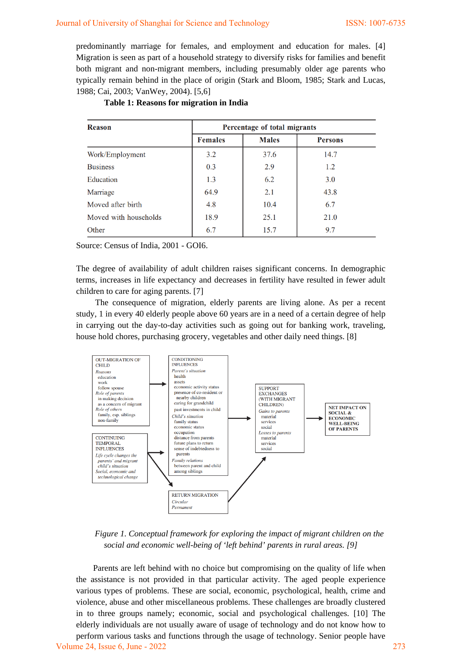predominantly marriage for females, and employment and education for males. [4] Migration is seen as part of a household strategy to diversify risks for families and benefit both migrant and non-migrant members, including presumably older age parents who typically remain behind in the place of origin (Stark and Bloom, 1985; Stark and Lucas, 1988; Cai, 2003; VanWey, 2004). [5,6]

| <b>Reason</b>         | Percentage of total migrants |              |                |
|-----------------------|------------------------------|--------------|----------------|
|                       | <b>Females</b>               | <b>Males</b> | <b>Persons</b> |
| Work/Employment       | 3.2                          | 37.6         | 14.7           |
| <b>Business</b>       | 0.3                          | 2.9          | 1.2            |
| Education             | 1.3                          | 6.2          | 3.0            |
| Marriage              | 64.9                         | 2.1          | 43.8           |
| Moved after birth     | 4.8                          | 10.4         | 6.7            |
| Moved with households | 18.9                         | 25.1         | 21.0           |
| Other                 | 6.7                          | 15.7         | 9.7            |

#### **Table 1: Reasons for migration in India**

Source: Census of India, 2001 - GOI6.

The degree of availability of adult children raises significant concerns. In demographic terms, increases in life expectancy and decreases in fertility have resulted in fewer adult children to care for aging parents. [7]

The consequence of migration, elderly parents are living alone. As per a recent study, 1 in every 40 elderly people above 60 years are in a need of a certain degree of help in carrying out the day-to-day activities such as going out for banking work, traveling, house hold chores, purchasing grocery, vegetables and other daily need things. [8]



*Figure 1. Conceptual framework for exploring the impact of migrant children on the social and economic well-being of 'left behind' parents in rural areas. [9]* 

Parents are left behind with no choice but compromising on the quality of life when the assistance is not provided in that particular activity. The aged people experience various types of problems. These are social, economic, psychological, health, crime and violence, abuse and other miscellaneous problems. These challenges are broadly clustered in to three groups namely; economic, social and psychological challenges. [10] The elderly individuals are not usually aware of usage of technology and do not know how to perform various tasks and functions through the usage of technology. Senior people have Volume 24, Issue 6, June - 2022 273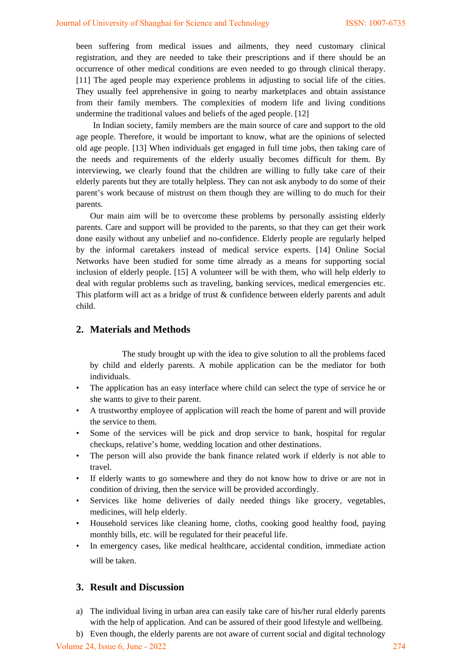been suffering from medical issues and ailments, they need customary clinical registration, and they are needed to take their prescriptions and if there should be an occurrence of other medical conditions are even needed to go through clinical therapy. [11] The aged people may experience problems in adjusting to social life of the cities. They usually feel apprehensive in going to nearby marketplaces and obtain assistance from their family members. The complexities of modern life and living conditions undermine the traditional values and beliefs of the aged people. [12]

In Indian society, family members are the main source of care and support to the old age people. Therefore, it would be important to know, what are the opinions of selected old age people. [13] When individuals get engaged in full time jobs, then taking care of the needs and requirements of the elderly usually becomes difficult for them. By interviewing, we clearly found that the children are willing to fully take care of their elderly parents but they are totally helpless. They can not ask anybody to do some of their parent's work because of mistrust on them though they are willing to do much for their parents.

Our main aim will be to overcome these problems by personally assisting elderly parents. Care and support will be provided to the parents, so that they can get their work done easily without any unbelief and no-confidence. Elderly people are regularly helped by the informal caretakers instead of medical service experts. [14] Online Social Networks have been studied for some time already as a means for supporting social inclusion of elderly people. [15] A volunteer will be with them, who will help elderly to deal with regular problems such as traveling, banking services, medical emergencies etc. This platform will act as a bridge of trust & confidence between elderly parents and adult child.

# **2. Materials and Methods**

 The study brought up with the idea to give solution to all the problems faced by child and elderly parents. A mobile application can be the mediator for both individuals.

- The application has an easy interface where child can select the type of service he or she wants to give to their parent.
- A trustworthy employee of application will reach the home of parent and will provide the service to them.
- Some of the services will be pick and drop service to bank, hospital for regular checkups, relative's home, wedding location and other destinations.
- The person will also provide the bank finance related work if elderly is not able to travel.
- If elderly wants to go somewhere and they do not know how to drive or are not in condition of driving, then the service will be provided accordingly.
- Services like home deliveries of daily needed things like grocery, vegetables, medicines, will help elderly.
- Household services like cleaning home, cloths, cooking good healthy food, paying monthly bills, etc. will be regulated for their peaceful life.
- In emergency cases, like medical healthcare, accidental condition, immediate action will be taken.

# **3. Result and Discussion**

- a) The individual living in urban area can easily take care of his/her rural elderly parents with the help of application. And can be assured of their good lifestyle and wellbeing.
- b) Even though, the elderly parents are not aware of current social and digital technology